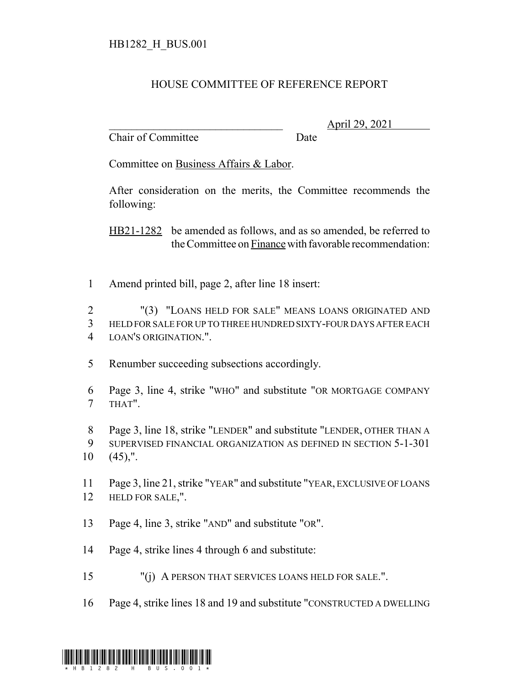## HOUSE COMMITTEE OF REFERENCE REPORT

Chair of Committee Date

\_\_\_\_\_\_\_\_\_\_\_\_\_\_\_\_\_\_\_\_\_\_\_\_\_\_\_\_\_\_\_ April 29, 2021

Committee on Business Affairs & Labor.

After consideration on the merits, the Committee recommends the following:

HB21-1282 be amended as follows, and as so amended, be referred to the Committee on Finance with favorable recommendation:

Amend printed bill, page 2, after line 18 insert:

 "(3) "LOANS HELD FOR SALE" MEANS LOANS ORIGINATED AND HELD FOR SALE FOR UP TO THREE HUNDRED SIXTY-FOUR DAYS AFTER EACH LOAN'S ORIGINATION.".

- Renumber succeeding subsections accordingly.
- Page 3, line 4, strike "WHO" and substitute "OR MORTGAGE COMPANY THAT".

 Page 3, line 18, strike "LENDER" and substitute "LENDER, OTHER THAN A SUPERVISED FINANCIAL ORGANIZATION AS DEFINED IN SECTION 5-1-301 (45),".

 Page 3, line 21, strike "YEAR" and substitute "YEAR, EXCLUSIVE OF LOANS HELD FOR SALE,".

- Page 4, line 3, strike "AND" and substitute "OR".
- Page 4, strike lines 4 through 6 and substitute:
- "(j) A PERSON THAT SERVICES LOANS HELD FOR SALE.".
- Page 4, strike lines 18 and 19 and substitute "CONSTRUCTED A DWELLING

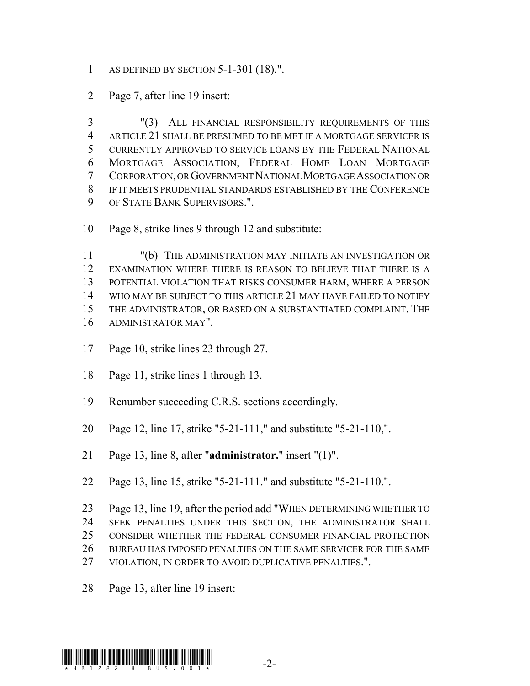- AS DEFINED BY SECTION 5-1-301 (18).".
- Page 7, after line 19 insert:

 "(3) ALL FINANCIAL RESPONSIBILITY REQUIREMENTS OF THIS ARTICLE 21 SHALL BE PRESUMED TO BE MET IF A MORTGAGE SERVICER IS CURRENTLY APPROVED TO SERVICE LOANS BY THE FEDERAL NATIONAL MORTGAGE ASSOCIATION, FEDERAL HOME LOAN MORTGAGE CORPORATION, OR GOVERNMENT NATIONAL MORTGAGE ASSOCIATION OR IF IT MEETS PRUDENTIAL STANDARDS ESTABLISHED BY THE CONFERENCE OF STATE BANK SUPERVISORS.".

Page 8, strike lines 9 through 12 and substitute:

 "(b) THE ADMINISTRATION MAY INITIATE AN INVESTIGATION OR EXAMINATION WHERE THERE IS REASON TO BELIEVE THAT THERE IS A POTENTIAL VIOLATION THAT RISKS CONSUMER HARM, WHERE A PERSON WHO MAY BE SUBJECT TO THIS ARTICLE 21 MAY HAVE FAILED TO NOTIFY THE ADMINISTRATOR, OR BASED ON A SUBSTANTIATED COMPLAINT. THE ADMINISTRATOR MAY".

- Page 10, strike lines 23 through 27.
- Page 11, strike lines 1 through 13.
- Renumber succeeding C.R.S. sections accordingly.
- Page 12, line 17, strike "5-21-111," and substitute "5-21-110,".
- Page 13, line 8, after "**administrator.**" insert "(1)".
- Page 13, line 15, strike "5-21-111." and substitute "5-21-110.".
- Page 13, line 19, after the period add "WHEN DETERMINING WHETHER TO SEEK PENALTIES UNDER THIS SECTION, THE ADMINISTRATOR SHALL CONSIDER WHETHER THE FEDERAL CONSUMER FINANCIAL PROTECTION BUREAU HAS IMPOSED PENALTIES ON THE SAME SERVICER FOR THE SAME VIOLATION, IN ORDER TO AVOID DUPLICATIVE PENALTIES.".
- Page 13, after line 19 insert: